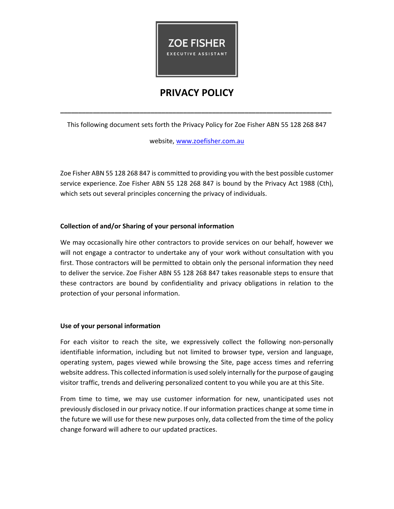

# **PRIVACY POLICY**

This following document sets forth the Privacy Policy for Zoe Fisher ABN 55 128 268 847

**\_\_\_\_\_\_\_\_\_\_\_\_\_\_\_\_\_\_\_\_\_\_\_\_\_\_\_\_\_\_\_\_\_\_\_\_\_\_\_\_\_\_\_\_\_\_\_\_\_\_\_\_\_\_\_\_\_\_\_\_\_\_\_\_\_\_\_\_\_\_\_\_\_\_\_** 

website, www.zoefisher.com.au

Zoe Fisher ABN 55 128 268 847 is committed to providing you with the best possible customer service experience. Zoe Fisher ABN 55 128 268 847 is bound by the Privacy Act 1988 (Cth), which sets out several principles concerning the privacy of individuals.

# **Collection of and/or Sharing of your personal information**

We may occasionally hire other contractors to provide services on our behalf, however we will not engage a contractor to undertake any of your work without consultation with you first. Those contractors will be permitted to obtain only the personal information they need to deliver the service. Zoe Fisher ABN 55 128 268 847 takes reasonable steps to ensure that these contractors are bound by confidentiality and privacy obligations in relation to the protection of your personal information.

## **Use of your personal information**

For each visitor to reach the site, we expressively collect the following non-personally identifiable information, including but not limited to browser type, version and language, operating system, pages viewed while browsing the Site, page access times and referring website address. This collected information is used solely internally for the purpose of gauging visitor traffic, trends and delivering personalized content to you while you are at this Site.

From time to time, we may use customer information for new, unanticipated uses not previously disclosed in our privacy notice. If our information practices change at some time in the future we will use for these new purposes only, data collected from the time of the policy change forward will adhere to our updated practices.